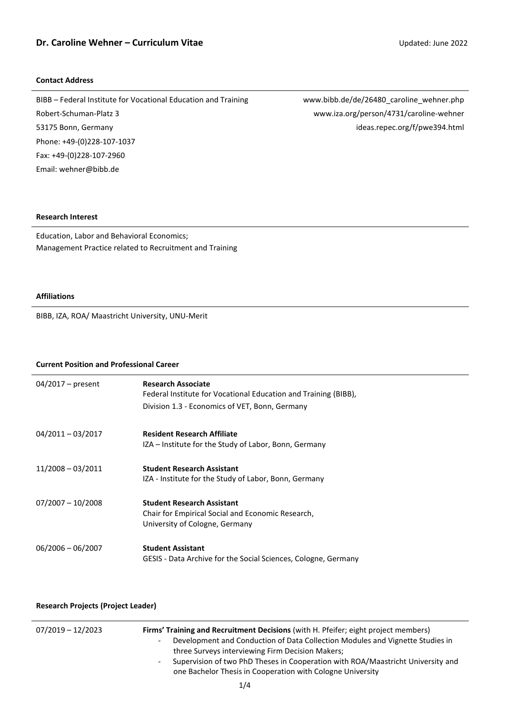### **Contact Address**

BIBB – Federal Institute for Vocational Education and Training www.bibb.de/de/26480\_caroline\_wehner.php Robert-Schuman-Platz 3 www.iza.org/person/4731/caroline-wehner 53175 Bonn, Germany ideas.repec.org/f/pwe394.html Phone: +49-(0)228-107-1037 Fax: +49-(0)228-107-2960 Email[: wehner@bibb.de](mailto:wehner@bibb.de)

### **Research Interest**

Education, Labor and Behavioral Economics; Management Practice related to Recruitment and Training

#### **Affiliations**

BIBB, IZA, ROA/ Maastricht University, UNU-Merit

### **Current Position and Professional Career**

| $04/2017$ – present | <b>Research Associate</b><br>Federal Institute for Vocational Education and Training (BIBB),<br>Division 1.3 - Economics of VET, Bonn, Germany |
|---------------------|------------------------------------------------------------------------------------------------------------------------------------------------|
| $04/2011 - 03/2017$ | <b>Resident Research Affiliate</b><br>IZA – Institute for the Study of Labor, Bonn, Germany                                                    |
| $11/2008 - 03/2011$ | <b>Student Research Assistant</b><br>IZA - Institute for the Study of Labor, Bonn, Germany                                                     |
| $07/2007 - 10/2008$ | <b>Student Research Assistant</b><br>Chair for Empirical Social and Economic Research,<br>University of Cologne, Germany                       |
| $06/2006 - 06/2007$ | <b>Student Assistant</b><br>GESIS - Data Archive for the Social Sciences, Cologne, Germany                                                     |

### **Research Projects (Project Leader)**

| 07/2019 - 12/2023<br>$\sim$<br>$\sim$ | Firms' Training and Recruitment Decisions (with H. Pfeifer; eight project members)<br>Development and Conduction of Data Collection Modules and Vignette Studies in<br>three Surveys interviewing Firm Decision Makers;<br>Supervision of two PhD Theses in Cooperation with ROA/Maastricht University and<br>one Bachelor Thesis in Cooperation with Cologne University |
|---------------------------------------|--------------------------------------------------------------------------------------------------------------------------------------------------------------------------------------------------------------------------------------------------------------------------------------------------------------------------------------------------------------------------|
|                                       |                                                                                                                                                                                                                                                                                                                                                                          |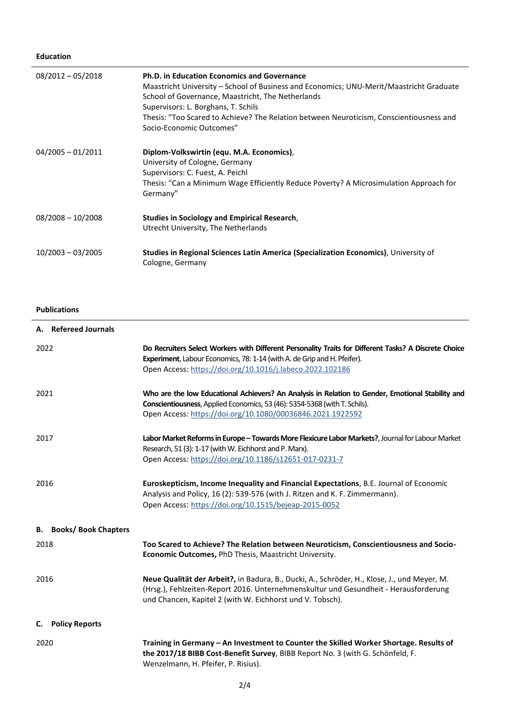# **Education**

| $08/2012 - 05/2018$ | <b>Ph.D. in Education Economics and Governance</b><br>Maastricht University – School of Business and Economics; UNU-Merit/Maastricht Graduate<br>School of Governance, Maastricht, The Netherlands<br>Supervisors: L. Borghans, T. Schils<br>Thesis: "Too Scared to Achieve? The Relation between Neuroticism, Conscientiousness and<br>Socio-Economic Outcomes" |
|---------------------|------------------------------------------------------------------------------------------------------------------------------------------------------------------------------------------------------------------------------------------------------------------------------------------------------------------------------------------------------------------|
| $04/2005 - 01/2011$ | Diplom-Volkswirtin (equ. M.A. Economics),<br>University of Cologne, Germany<br>Supervisors: C. Fuest, A. Peichl<br>Thesis: "Can a Minimum Wage Efficiently Reduce Poverty? A Microsimulation Approach for<br>Germany"                                                                                                                                            |
| $08/2008 - 10/2008$ | <b>Studies in Sociology and Empirical Research,</b><br>Utrecht University, The Netherlands                                                                                                                                                                                                                                                                       |
| $10/2003 - 03/2005$ | Studies in Regional Sciences Latin America (Specialization Economics), University of<br>Cologne, Germany                                                                                                                                                                                                                                                         |

# **Publications**

|      | A. Refereed Journals          |                                                                                                                                                                                                                                                  |
|------|-------------------------------|--------------------------------------------------------------------------------------------------------------------------------------------------------------------------------------------------------------------------------------------------|
| 2022 |                               | Do Recruiters Select Workers with Different Personality Traits for Different Tasks? A Discrete Choice<br>Experiment, Labour Economics, 78: 1-14 (with A. de Grip and H. Pfeifer).<br>Open Access: https://doi.org/10.1016/j.labeco.2022.102186   |
| 2021 |                               | Who are the low Educational Achievers? An Analysis in Relation to Gender, Emotional Stability and<br>Conscientiousness, Applied Economics, 53 (46): 5354-5368 (with T. Schils).<br>Open Access: https://doi.org/10.1080/00036846.2021.1922592    |
| 2017 |                               | Labor Market Reforms in Europe - Towards More Flexicure Labor Markets?, Journal for Labour Market<br>Research, 51 (3): 1-17 (with W. Eichhorst and P. Marx).<br>Open Access: https://doi.org/10.1186/s12651-017-0231-7                           |
| 2016 |                               | Euroskepticism, Income Inequality and Financial Expectations, B.E. Journal of Economic<br>Analysis and Policy, 16 (2): 539-576 (with J. Ritzen and K. F. Zimmermann).<br>Open Access: https://doi.org/10.1515/bejeap-2015-0052                   |
|      | <b>B.</b> Books/Book Chapters |                                                                                                                                                                                                                                                  |
| 2018 |                               | Too Scared to Achieve? The Relation between Neuroticism, Conscientiousness and Socio-<br>Economic Outcomes, PhD Thesis, Maastricht University.                                                                                                   |
| 2016 |                               | Neue Qualität der Arbeit?, in Badura, B., Ducki, A., Schröder, H., Klose, J., und Meyer, M.<br>(Hrsg.), Fehlzeiten-Report 2016. Unternehmenskultur und Gesundheit - Herausforderung<br>und Chancen, Kapitel 2 (with W. Eichhorst und V. Tobsch). |
|      | C. Policy Reports             |                                                                                                                                                                                                                                                  |
| 2020 |                               | Training in Germany - An Investment to Counter the Skilled Worker Shortage. Results of<br>the 2017/18 BIBB Cost-Benefit Survey, BIBB Report No. 3 (with G. Schönfeld, F.<br>Wenzelmann, H. Pfeifer, P. Risius).                                  |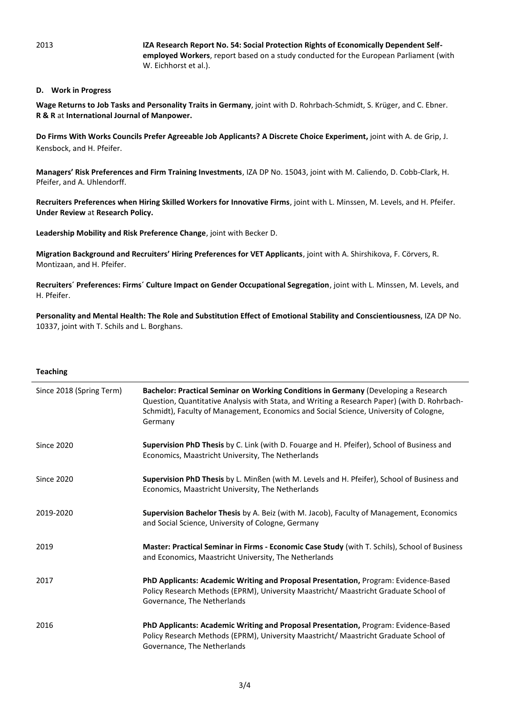2013 **IZA Research [Report No. 54: Social Protection Rights of Economically Dependent Self](http://www.iza.org/en/webcontent/publications/reports/report_pdfs/report_pdfs/iza_report_54.pdf)[employed Workers](http://www.iza.org/en/webcontent/publications/reports/report_pdfs/report_pdfs/iza_report_54.pdf)**, report based on a study conducted for the European Parliament (with W. Eichhorst et al.).

### **D. Work in Progress**

**Wage Returns to Job Tasks and Personality Traits in Germany**, joint with D. Rohrbach-Schmidt, S. Krüger, and C. Ebner. **R & R** at **International Journal of Manpower.** 

**Do Firms With Works Councils Prefer Agreeable Job Applicants? A Discrete Choice Experiment,** joint with A. de Grip, J. Kensbock, and H. Pfeifer.

**Managers' Risk Preferences and Firm Training Investments**, IZA DP No. 15043, joint with M. Caliendo, D. Cobb-Clark, H. Pfeifer, and A. Uhlendorff.

**Recruiters Preferences when Hiring Skilled Workers for Innovative Firms**, joint with L. Minssen, M. Levels, and H. Pfeifer. **Under Review** at **Research Policy.**

**Leadership Mobility and Risk Preference Change**, joint with Becker D.

**Migration Background and Recruiters' Hiring Preferences for VET Applicants**, joint with A. Shirshikova, F. Cörvers, R. Montizaan, and H. Pfeifer.

**Recruiters´ Preferences: Firms´ Culture Impact on Gender Occupational Segregation**, joint with L. Minssen, M. Levels, and H. Pfeifer.

**Personality and Mental Health: The Role and Substitution Effect of Emotional Stability and Conscientiousness**, IZA DP No. 10337, joint with [T. Schils](https://www.maastrichtuniversity.nl/t.schils) and [L. Borghans.](https://www.iza.org/person/994)

#### **Teaching**

| Since 2018 (Spring Term) | Bachelor: Practical Seminar on Working Conditions in Germany (Developing a Research<br>Question, Quantitative Analysis with Stata, and Writing a Research Paper) (with D. Rohrbach-<br>Schmidt), Faculty of Management, Economics and Social Science, University of Cologne,<br>Germany |
|--------------------------|-----------------------------------------------------------------------------------------------------------------------------------------------------------------------------------------------------------------------------------------------------------------------------------------|
| <b>Since 2020</b>        | Supervision PhD Thesis by C. Link (with D. Fouarge and H. Pfeifer), School of Business and<br>Economics, Maastricht University, The Netherlands                                                                                                                                         |
| <b>Since 2020</b>        | Supervision PhD Thesis by L. Minßen (with M. Levels and H. Pfeifer), School of Business and<br>Economics, Maastricht University, The Netherlands                                                                                                                                        |
| 2019-2020                | Supervision Bachelor Thesis by A. Beiz (with M. Jacob), Faculty of Management, Economics<br>and Social Science, University of Cologne, Germany                                                                                                                                          |
| 2019                     | Master: Practical Seminar in Firms - Economic Case Study (with T. Schils), School of Business<br>and Economics, Maastricht University, The Netherlands                                                                                                                                  |
| 2017                     | PhD Applicants: Academic Writing and Proposal Presentation, Program: Evidence-Based<br>Policy Research Methods (EPRM), University Maastricht/ Maastricht Graduate School of<br>Governance, The Netherlands                                                                              |
| 2016                     | PhD Applicants: Academic Writing and Proposal Presentation, Program: Evidence-Based<br>Policy Research Methods (EPRM), University Maastricht/ Maastricht Graduate School of<br>Governance, The Netherlands                                                                              |